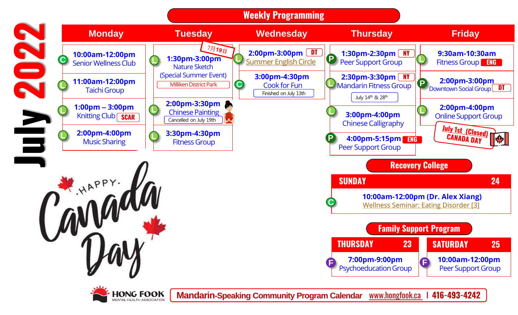



**Mandarin-Speaking Community Program Calendar** www.hongfook.ca I **416-493-4242**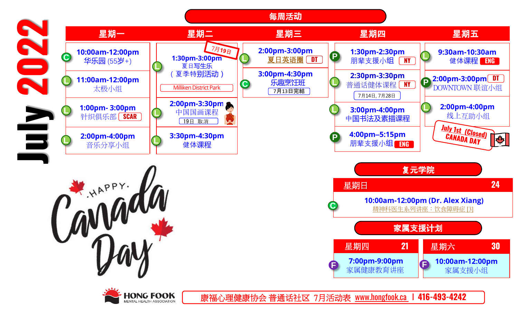

ENTAL HEALTH ASSOCIATION

康福心理健康协会 普通话社区 7月活动表 www.hongfook.ca I **416-493-4242**